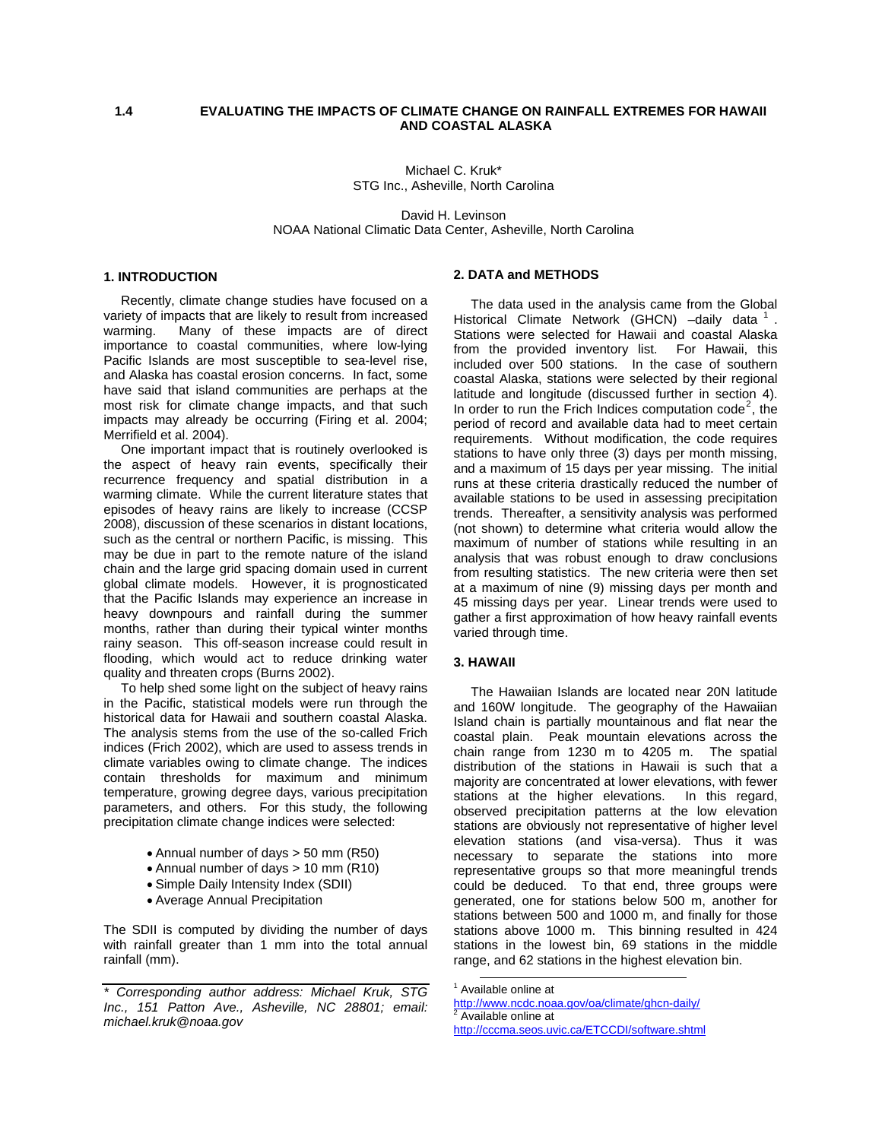# **1.4 EVALUATING THE IMPACTS OF CLIMATE CHANGE ON RAINFALL EXTREMES FOR HAWAII AND COASTAL ALASKA**

Michael C. Kruk\* STG Inc., Asheville, North Carolina

David H. Levinson NOAA National Climatic Data Center, Asheville, North Carolina

## **1. INTRODUCTION**

 Recently, climate change studies have focused on a variety of impacts that are likely to result from increased warming. Many of these impacts are of direct importance to coastal communities, where low-lying Pacific Islands are most susceptible to sea-level rise, and Alaska has coastal erosion concerns. In fact, some have said that island communities are perhaps at the most risk for climate change impacts, and that such impacts may already be occurring (Firing et al. 2004; Merrifield et al. 2004).

 One important impact that is routinely overlooked is the aspect of heavy rain events, specifically their recurrence frequency and spatial distribution in a warming climate. While the current literature states that episodes of heavy rains are likely to increase (CCSP 2008), discussion of these scenarios in distant locations, such as the central or northern Pacific, is missing. This may be due in part to the remote nature of the island chain and the large grid spacing domain used in current global climate models. However, it is prognosticated that the Pacific Islands may experience an increase in heavy downpours and rainfall during the summer months, rather than during their typical winter months rainy season. This off-season increase could result in flooding, which would act to reduce drinking water quality and threaten crops (Burns 2002).

 To help shed some light on the subject of heavy rains in the Pacific, statistical models were run through the historical data for Hawaii and southern coastal Alaska. The analysis stems from the use of the so-called Frich indices (Frich 2002), which are used to assess trends in climate variables owing to climate change. The indices contain thresholds for maximum and minimum temperature, growing degree days, various precipitation parameters, and others. For this study, the following precipitation climate change indices were selected:

- Annual number of days > 50 mm (R50)
- Annual number of days > 10 mm (R10)
- Simple Daily Intensity Index (SDII)
- Average Annual Precipitation

The SDII is computed by dividing the number of days with rainfall greater than 1 mm into the total annual rainfall (mm).

#### **2. DATA and METHODS**

 The data used in the analysis came from the Global Historical Climate Network (GHCN) -daily data <sup>[1](#page-0-0)</sup> Stations were selected for Hawaii and coastal Alaska from the provided inventory list. For Hawaii, this included over 500 stations. In the case of southern coastal Alaska, stations were selected by their regional latitude and longitude (discussed further in section 4). In order to run the Frich Indices computation code<sup>[2](#page-0-1)</sup>, the period of record and available data had to meet certain requirements. Without modification, the code requires stations to have only three (3) days per month missing, and a maximum of 15 days per year missing. The initial runs at these criteria drastically reduced the number of available stations to be used in assessing precipitation trends. Thereafter, a sensitivity analysis was performed (not shown) to determine what criteria would allow the maximum of number of stations while resulting in an analysis that was robust enough to draw conclusions from resulting statistics. The new criteria were then set at a maximum of nine (9) missing days per month and 45 missing days per year. Linear trends were used to gather a first approximation of how heavy rainfall events varied through time.

## **3. HAWAII**

The Hawaiian Islands are located near 20N latitude and 160W longitude. The geography of the Hawaiian Island chain is partially mountainous and flat near the coastal plain. Peak mountain elevations across the chain range from 1230 m to 4205 m. The spatial distribution of the stations in Hawaii is such that a majority are concentrated at lower elevations, with fewer stations at the higher elevations. In this regard, observed precipitation patterns at the low elevation stations are obviously not representative of higher level elevation stations (and visa-versa). Thus it was necessary to separate the stations into more representative groups so that more meaningful trends could be deduced. To that end, three groups were generated, one for stations below 500 m, another for stations between 500 and 1000 m, and finally for those stations above 1000 m. This binning resulted in 424 stations in the lowest bin, 69 stations in the middle range, and 62 stations in the highest elevation bin.

<span id="page-0-1"></span><span id="page-0-0"></span>*<sup>\*</sup> Corresponding author address: Michael Kruk, STG Inc., 151 Patton Ave., Asheville, NC 28801; email: michael.kruk@noaa.gov* 

 <sup>1</sup> Available online at

<http://www.ncdc.noaa.gov/oa/climate/ghcn-daily/> <sup>2</sup> Available online at <http://cccma.seos.uvic.ca/ETCCDI/software.shtml>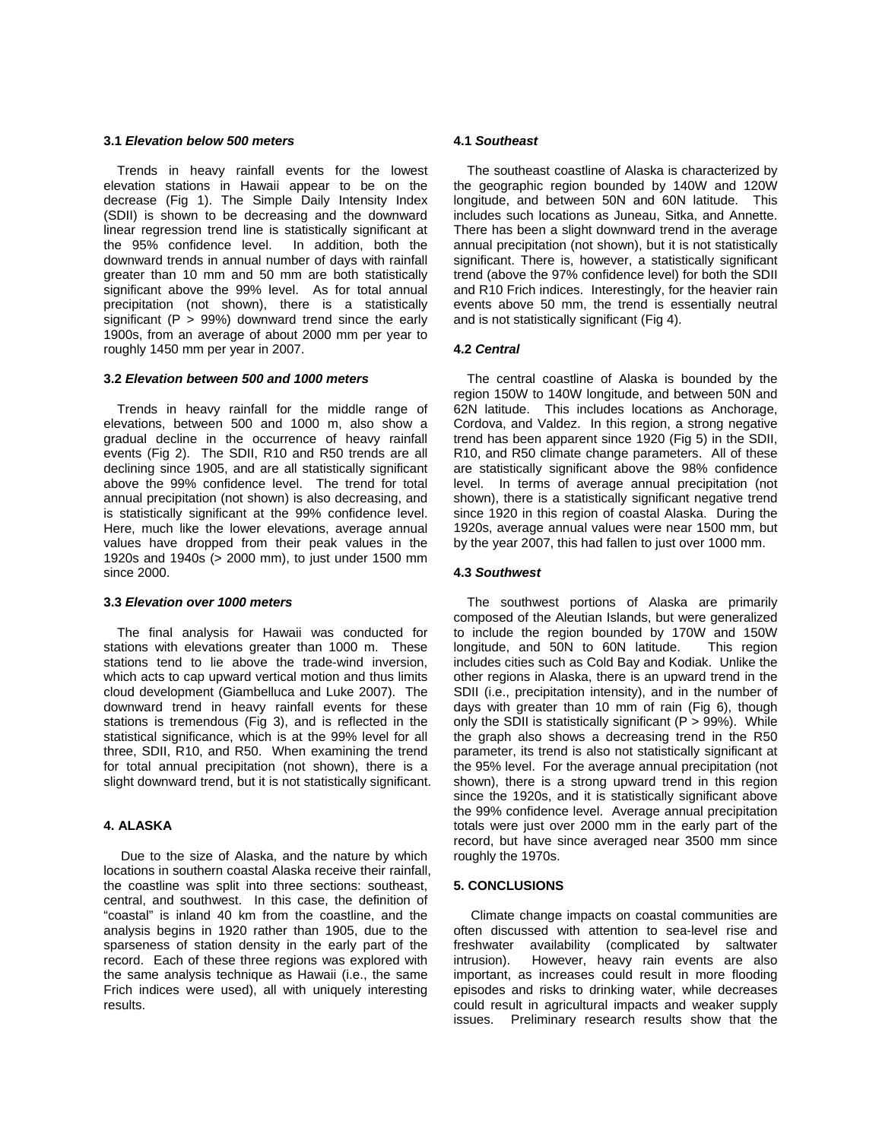#### **3.1** *Elevation below 500 meters*

Trends in heavy rainfall events for the lowest elevation stations in Hawaii appear to be on the decrease (Fig 1). The Simple Daily Intensity Index (SDII) is shown to be decreasing and the downward linear regression trend line is statistically significant at the 95% confidence level. In addition, both the the  $95\%$  confidence level. downward trends in annual number of days with rainfall greater than 10 mm and 50 mm are both statistically significant above the 99% level. As for total annual precipitation (not shown), there is a statistically significant  $(P > 99%)$  downward trend since the early 1900s, from an average of about 2000 mm per year to roughly 1450 mm per year in 2007.

## **3.2** *Elevation between 500 and 1000 meters*

Trends in heavy rainfall for the middle range of elevations, between 500 and 1000 m, also show a gradual decline in the occurrence of heavy rainfall events (Fig 2). The SDII, R10 and R50 trends are all declining since 1905, and are all statistically significant above the 99% confidence level. The trend for total annual precipitation (not shown) is also decreasing, and is statistically significant at the 99% confidence level. Here, much like the lower elevations, average annual values have dropped from their peak values in the 1920s and 1940s (> 2000 mm), to just under 1500 mm since 2000.

## **3.3** *Elevation over 1000 meters*

The final analysis for Hawaii was conducted for stations with elevations greater than 1000 m. These stations tend to lie above the trade-wind inversion, which acts to cap upward vertical motion and thus limits cloud development (Giambelluca and Luke 2007). The downward trend in heavy rainfall events for these stations is tremendous (Fig 3), and is reflected in the statistical significance, which is at the 99% level for all three, SDII, R10, and R50. When examining the trend for total annual precipitation (not shown), there is a slight downward trend, but it is not statistically significant.

## **4. ALASKA**

Due to the size of Alaska, and the nature by which locations in southern coastal Alaska receive their rainfall, the coastline was split into three sections: southeast, central, and southwest. In this case, the definition of "coastal" is inland 40 km from the coastline, and the analysis begins in 1920 rather than 1905, due to the sparseness of station density in the early part of the record. Each of these three regions was explored with the same analysis technique as Hawaii (i.e., the same Frich indices were used), all with uniquely interesting results.

#### **4.1** *Southeast*

 The southeast coastline of Alaska is characterized by the geographic region bounded by 140W and 120W longitude, and between 50N and 60N latitude. This includes such locations as Juneau, Sitka, and Annette. There has been a slight downward trend in the average annual precipitation (not shown), but it is not statistically significant. There is, however, a statistically significant trend (above the 97% confidence level) for both the SDII and R10 Frich indices. Interestingly, for the heavier rain events above 50 mm, the trend is essentially neutral and is not statistically significant (Fig 4).

## **4.2** *Central*

 The central coastline of Alaska is bounded by the region 150W to 140W longitude, and between 50N and 62N latitude. This includes locations as Anchorage, Cordova, and Valdez. In this region, a strong negative trend has been apparent since 1920 (Fig 5) in the SDII, R10, and R50 climate change parameters. All of these are statistically significant above the 98% confidence level. In terms of average annual precipitation (not shown), there is a statistically significant negative trend since 1920 in this region of coastal Alaska. During the 1920s, average annual values were near 1500 mm, but by the year 2007, this had fallen to just over 1000 mm.

## **4.3** *Southwest*

 The southwest portions of Alaska are primarily composed of the Aleutian Islands, but were generalized to include the region bounded by 170W and 150W longitude, and 50N to 60N latitude. This region includes cities such as Cold Bay and Kodiak. Unlike the other regions in Alaska, there is an upward trend in the SDII (i.e., precipitation intensity), and in the number of days with greater than 10 mm of rain (Fig 6), though only the SDII is statistically significant  $(P > 99\%)$ . While the graph also shows a decreasing trend in the R50 parameter, its trend is also not statistically significant at the 95% level. For the average annual precipitation (not shown), there is a strong upward trend in this region since the 1920s, and it is statistically significant above the 99% confidence level. Average annual precipitation totals were just over 2000 mm in the early part of the record, but have since averaged near 3500 mm since roughly the 1970s.

## **5. CONCLUSIONS**

 Climate change impacts on coastal communities are often discussed with attention to sea-level rise and freshwater availability (complicated by saltwater intrusion). However, heavy rain events are also important, as increases could result in more flooding episodes and risks to drinking water, while decreases could result in agricultural impacts and weaker supply issues. Preliminary research results show that the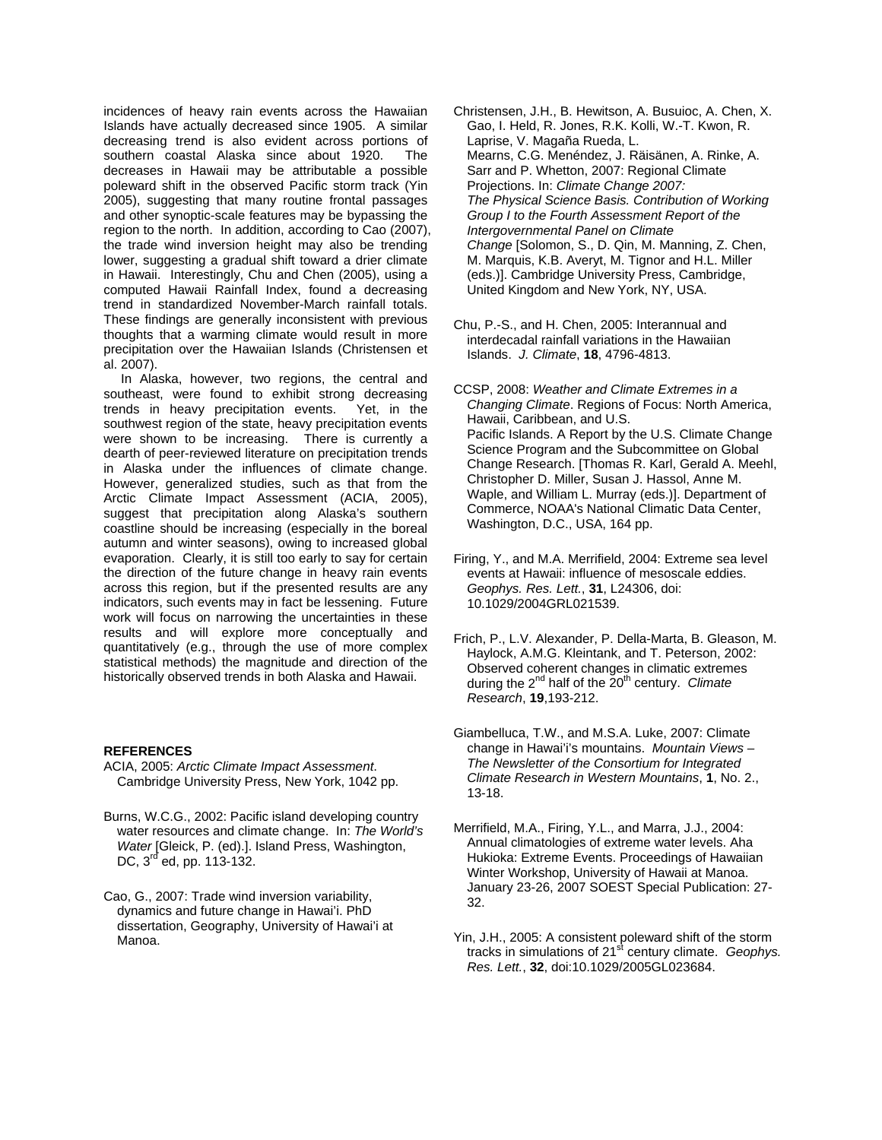incidences of heavy rain events across the Hawaiian Islands have actually decreased since 1905. A similar decreasing trend is also evident across portions of southern coastal Alaska since about 1920. The decreases in Hawaii may be attributable a possible poleward shift in the observed Pacific storm track (Yin 2005), suggesting that many routine frontal passages and other synoptic-scale features may be bypassing the region to the north. In addition, according to Cao (2007), the trade wind inversion height may also be trending lower, suggesting a gradual shift toward a drier climate in Hawaii. Interestingly, Chu and Chen (2005), using a computed Hawaii Rainfall Index, found a decreasing trend in standardized November-March rainfall totals. These findings are generally inconsistent with previous thoughts that a warming climate would result in more precipitation over the Hawaiian Islands (Christensen et al. 2007).

 In Alaska, however, two regions, the central and southeast, were found to exhibit strong decreasing trends in heavy precipitation events. Yet, in the southwest region of the state, heavy precipitation events were shown to be increasing. There is currently a dearth of peer-reviewed literature on precipitation trends in Alaska under the influences of climate change. However, generalized studies, such as that from the Arctic Climate Impact Assessment (ACIA, 2005), suggest that precipitation along Alaska's southern coastline should be increasing (especially in the boreal autumn and winter seasons), owing to increased global evaporation. Clearly, it is still too early to say for certain the direction of the future change in heavy rain events across this region, but if the presented results are any indicators, such events may in fact be lessening. Future work will focus on narrowing the uncertainties in these results and will explore more conceptually and quantitatively (e.g., through the use of more complex statistical methods) the magnitude and direction of the historically observed trends in both Alaska and Hawaii.

## **REFERENCES**

- ACIA, 2005: *Arctic Climate Impact Assessment*. Cambridge University Press, New York, 1042 pp.
- Burns, W.C.G., 2002: Pacific island developing country water resources and climate change. In: *The World's Water* [Gleick, P. (ed).]. Island Press, Washington, DC, 3<sup>rd</sup> ed, pp. 113-132.
- Cao, G., 2007: Trade wind inversion variability, dynamics and future change in Hawai'i. PhD dissertation, Geography, University of Hawai'i at Manoa.
- Christensen, J.H., B. Hewitson, A. Busuioc, A. Chen, X. Gao, I. Held, R. Jones, R.K. Kolli, W.-T. Kwon, R. Laprise, V. Magaña Rueda, L. Mearns, C.G. Menéndez, J. Räisänen, A. Rinke, A. Sarr and P. Whetton, 2007: Regional Climate Projections. In: *Climate Change 2007: The Physical Science Basis. Contribution of Working Group I to the Fourth Assessment Report of the Intergovernmental Panel on Climate Change* [Solomon, S., D. Qin, M. Manning, Z. Chen, M. Marquis, K.B. Averyt, M. Tignor and H.L. Miller (eds.)]. Cambridge University Press, Cambridge, United Kingdom and New York, NY, USA.
- Chu, P.-S., and H. Chen, 2005: Interannual and interdecadal rainfall variations in the Hawaiian Islands. *J. Climate*, **18**, 4796-4813.
- CCSP, 2008: *Weather and Climate Extremes in a Changing Climate*. Regions of Focus: North America, Hawaii, Caribbean, and U.S. Pacific Islands. A Report by the U.S. Climate Change Science Program and the Subcommittee on Global Change Research. [Thomas R. Karl, Gerald A. Meehl, Christopher D. Miller, Susan J. Hassol, Anne M. Waple, and William L. Murray (eds.)]. Department of Commerce, NOAA's National Climatic Data Center, Washington, D.C., USA, 164 pp.
- Firing, Y., and M.A. Merrifield, 2004: Extreme sea level events at Hawaii: influence of mesoscale eddies. *Geophys. Res. Lett.*, **31**, L24306, doi: 10.1029/2004GRL021539.
- Frich, P., L.V. Alexander, P. Della-Marta, B. Gleason, M. Haylock, A.M.G. Kleintank, and T. Peterson, 2002: Observed coherent changes in climatic extremes during the 2nd half of the 20th century. *Climate Research*, **19**,193-212.
- Giambelluca, T.W., and M.S.A. Luke, 2007: Climate change in Hawai'i's mountains. *Mountain Views – The Newsletter of the Consortium for Integrated Climate Research in Western Mountains*, **1**, No. 2., 13-18.
- Merrifield, M.A., Firing, Y.L., and Marra, J.J., 2004: Annual climatologies of extreme water levels. Aha Hukioka: Extreme Events. Proceedings of Hawaiian Winter Workshop, University of Hawaii at Manoa. January 23-26, 2007 SOEST Special Publication: 27- 32.
- Yin, J.H., 2005: A consistent poleward shift of the storm tracks in simulations of 21<sup>st</sup> century climate. *Geophys. Res. Lett.*, **32**, doi:10.1029/2005GL023684.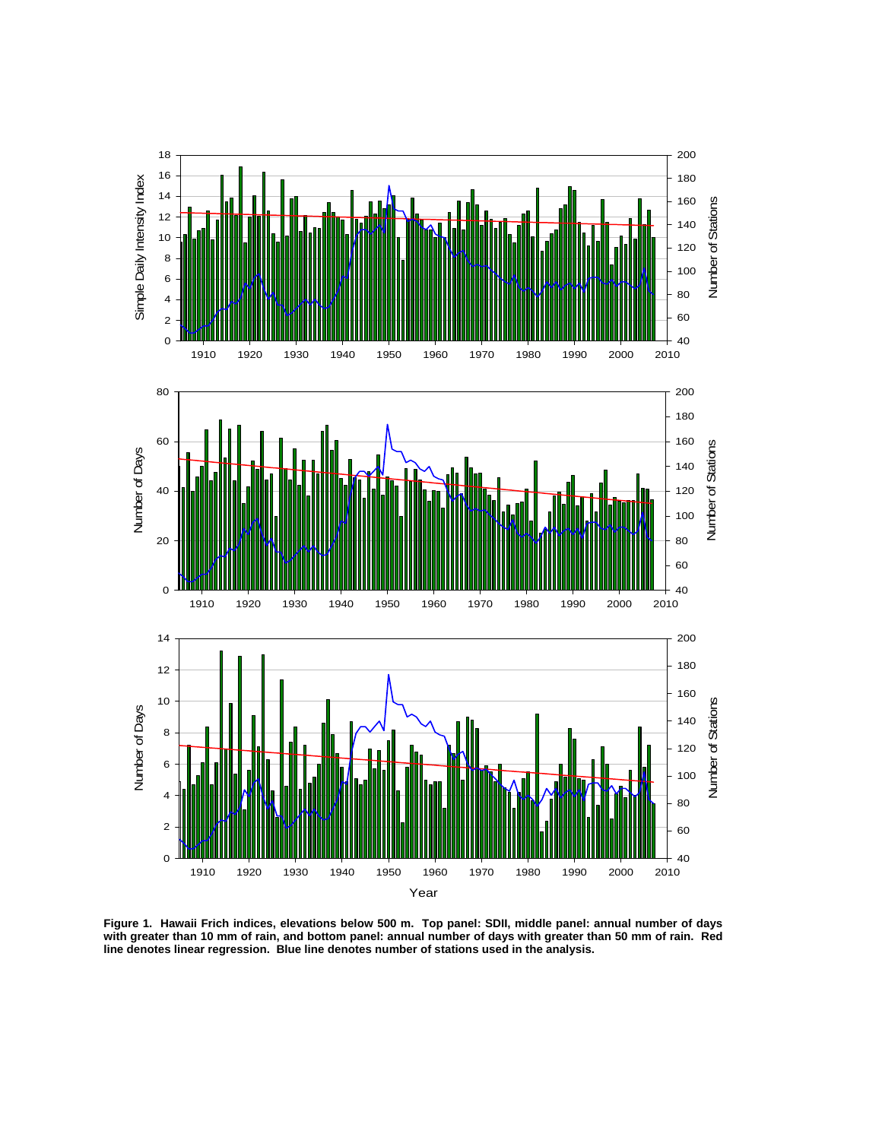

**Figure 1. Hawaii Frich indices, elevations below 500 m. Top panel: SDII, middle panel: annual number of days**  with greater than 10 mm of rain, and bottom panel: annual number of days with greater than 50 mm of rain. Red **line denotes linear regression. Blue line denotes number of stations used in the analysis.**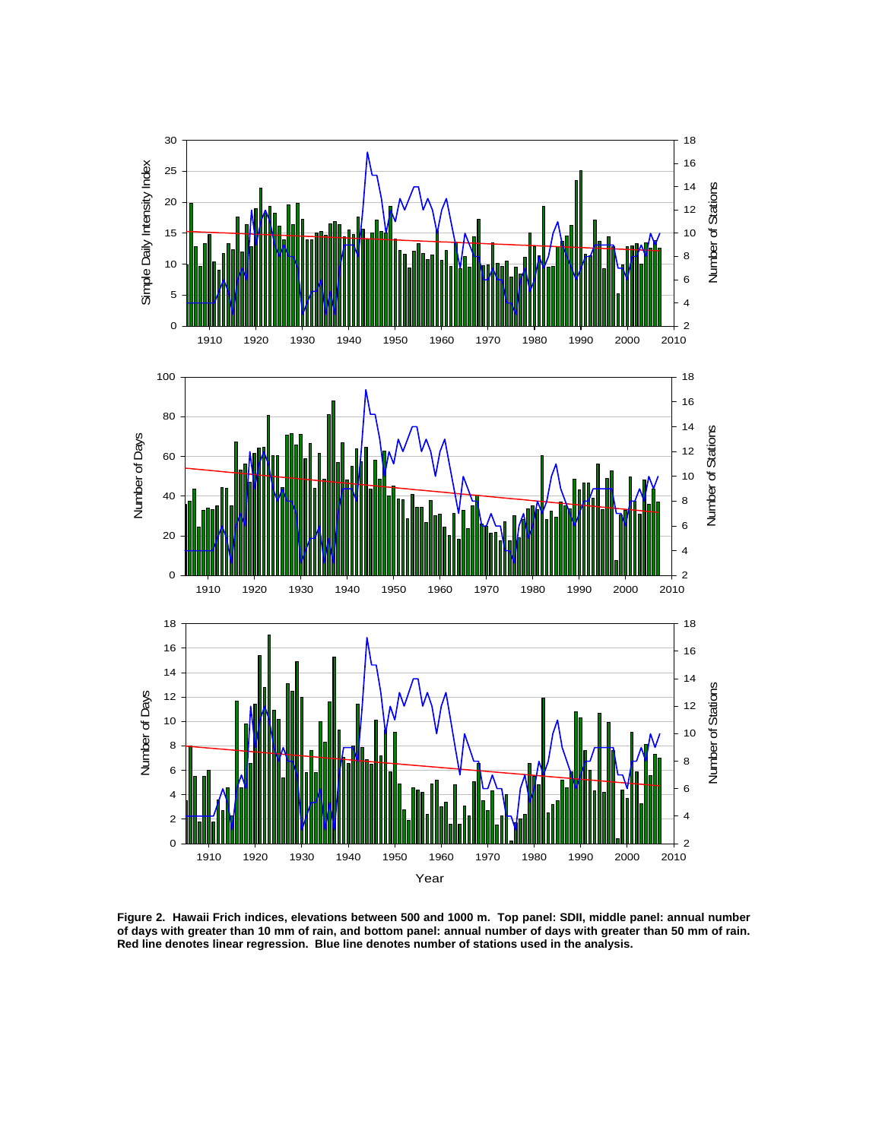

**Figure 2. Hawaii Frich indices, elevations between 500 and 1000 m. Top panel: SDII, middle panel: annual number of days with greater than 10 mm of rain, and bottom panel: annual number of days with greater than 50 mm of rain. Red line denotes linear regression. Blue line denotes number of stations used in the analysis.**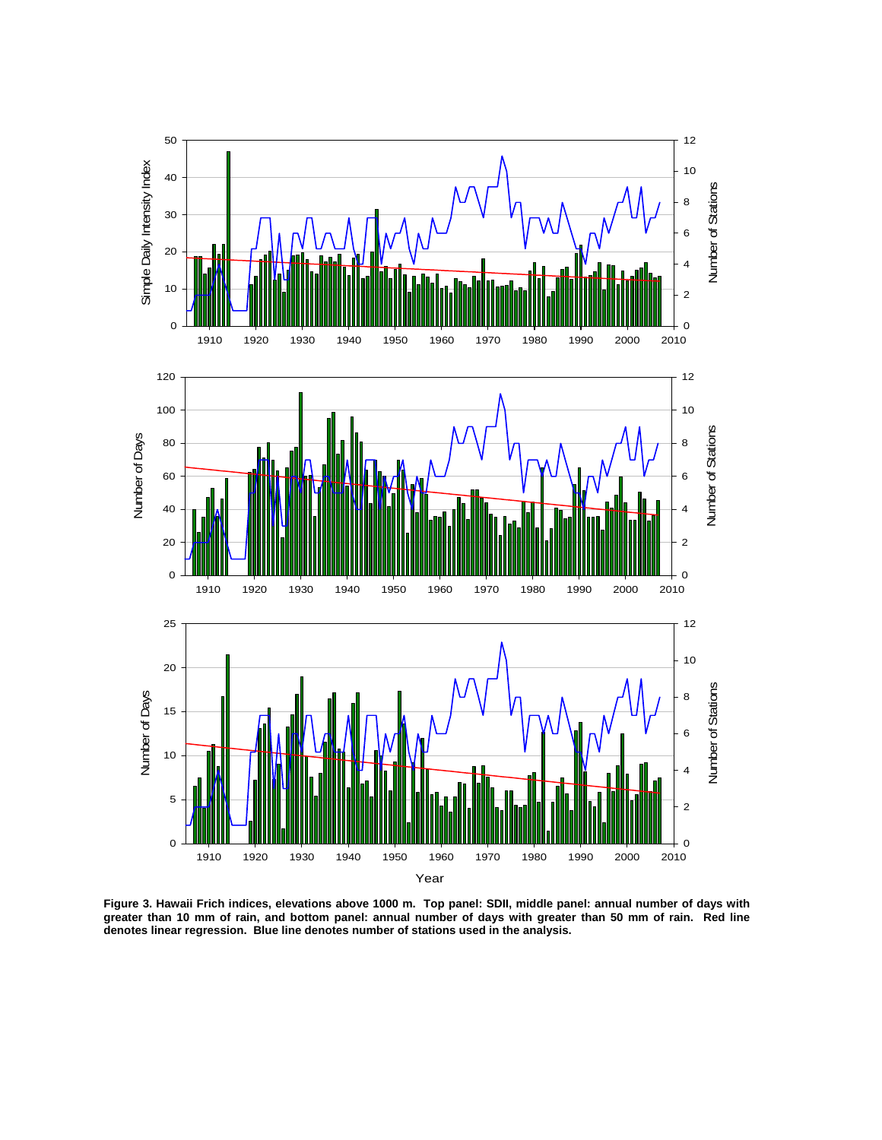

**Figure 3. Hawaii Frich indices, elevations above 1000 m. Top panel: SDII, middle panel: annual number of days with greater than 10 mm of rain, and bottom panel: annual number of days with greater than 50 mm of rain. Red line denotes linear regression. Blue line denotes number of stations used in the analysis.**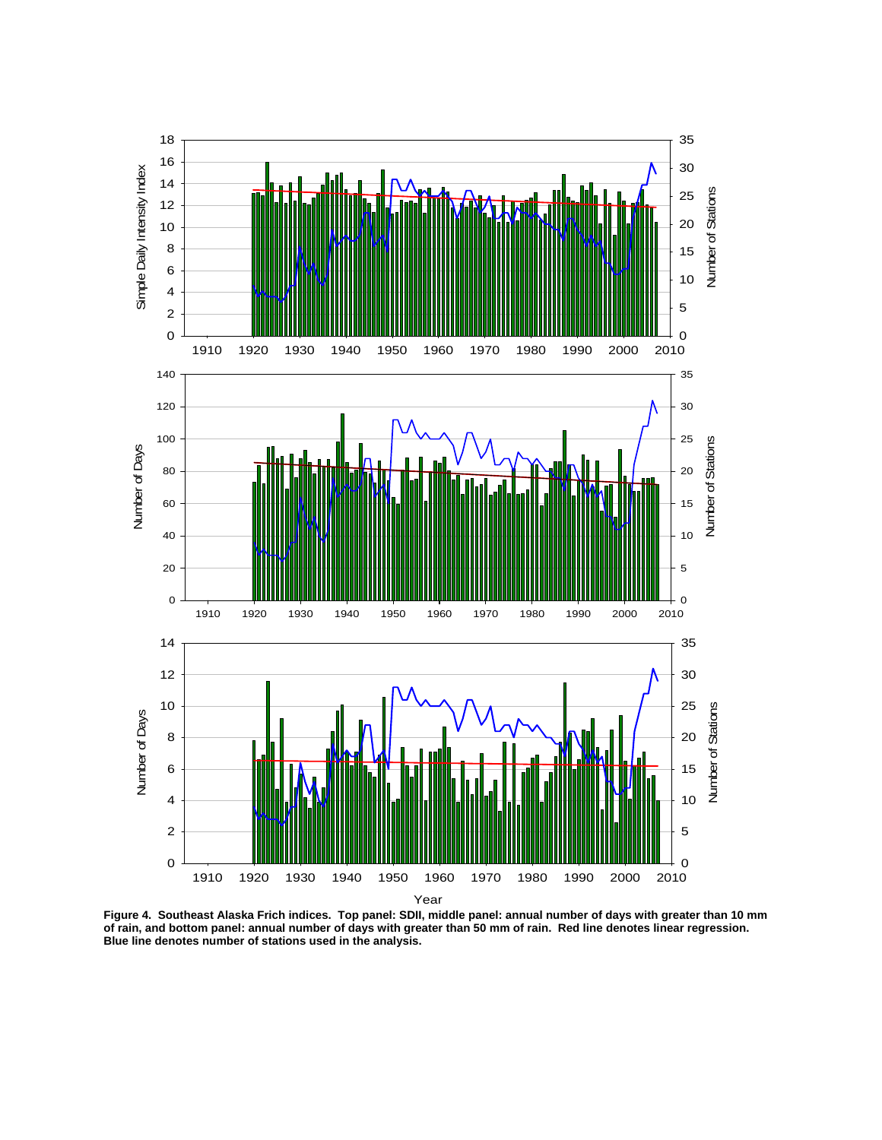

**Figure 4. Southeast Alaska Frich indices. Top panel: SDII, middle panel: annual number of days with greater than 10 mm of rain, and bottom panel: annual number of days with greater than 50 mm of rain. Red line denotes linear regression. Blue line denotes number of stations used in the analysis.**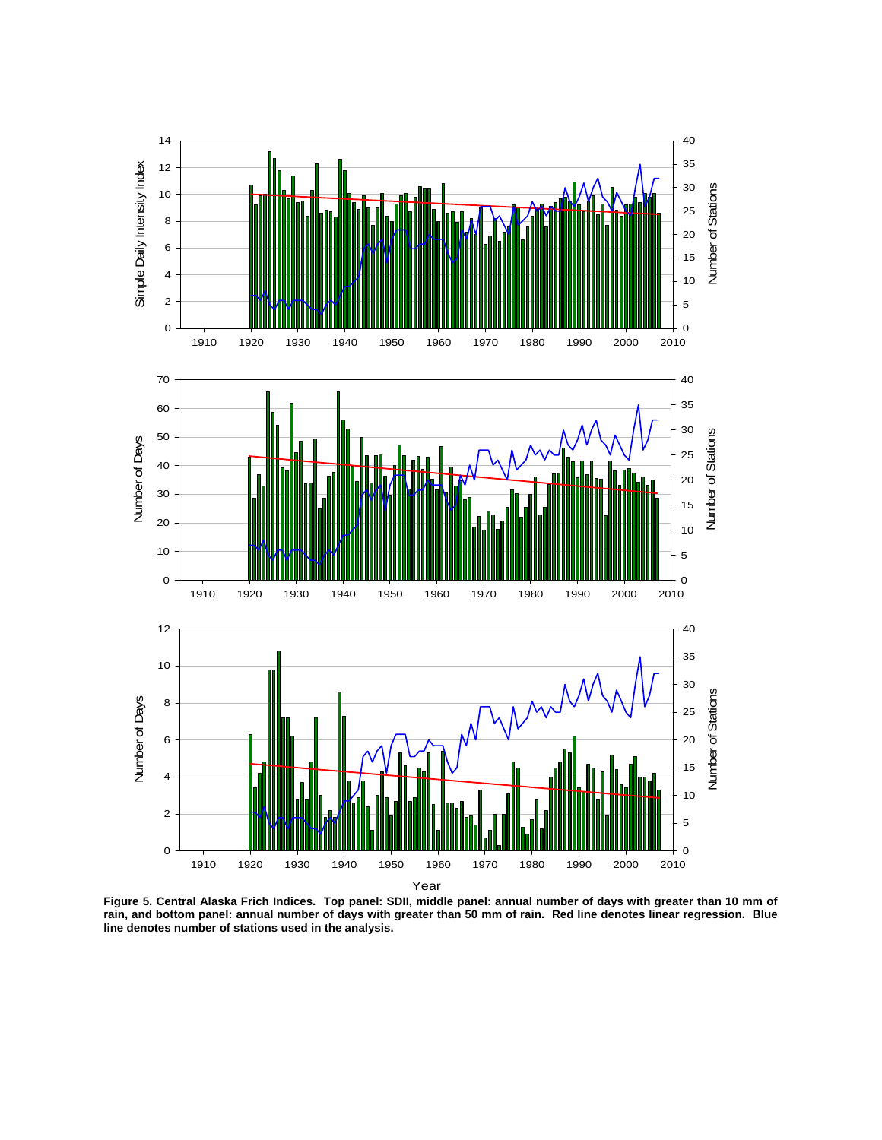

**Figure 5. Central Alaska Frich Indices. Top panel: SDII, middle panel: annual number of days with greater than 10 mm of rain, and bottom panel: annual number of days with greater than 50 mm of rain. Red line denotes linear regression. Blue line denotes number of stations used in the analysis.**